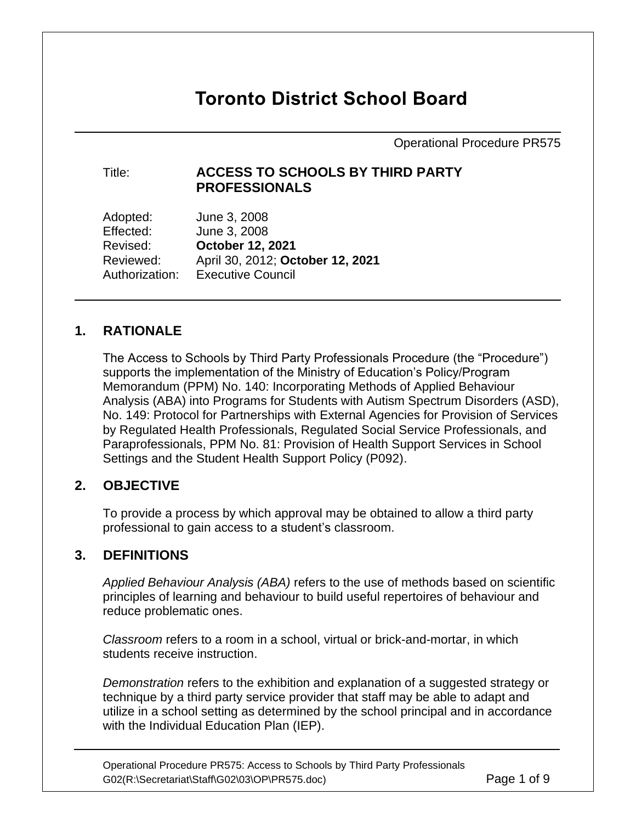# **Toronto District School Board**

Operational Procedure PR575

#### Title: **ACCESS TO SCHOOLS BY THIRD PARTY PROFESSIONALS**

Adopted: June 3, 2008 Effected: June 3, 2008 Revised: **October 12, 2021** Reviewed: April 30, 2012; **October 12, 2021** Authorization: Executive Council

## **1. RATIONALE**

The Access to Schools by Third Party Professionals Procedure (the "Procedure") supports the implementation of the Ministry of Education's Policy/Program Memorandum (PPM) No. 140: Incorporating Methods of Applied Behaviour Analysis (ABA) into Programs for Students with Autism Spectrum Disorders (ASD), No. 149: Protocol for Partnerships with External Agencies for Provision of Services by Regulated Health Professionals, Regulated Social Service Professionals, and Paraprofessionals, PPM No. 81: Provision of Health Support Services in School Settings and the Student Health Support Policy (P092).

## **2. OBJECTIVE**

To provide a process by which approval may be obtained to allow a third party professional to gain access to a student's classroom.

#### **3. DEFINITIONS**

*Applied Behaviour Analysis (ABA)* refers to the use of methods based on scientific principles of learning and behaviour to build useful repertoires of behaviour and reduce problematic ones.

*Classroom* refers to a room in a school, virtual or brick-and-mortar, in which students receive instruction.

*Demonstration* refers to the exhibition and explanation of a suggested strategy or technique by a third party service provider that staff may be able to adapt and utilize in a school setting as determined by the school principal and in accordance with the Individual Education Plan (IEP).

Operational Procedure PR575: Access to Schools by Third Party Professionals G02(R:\Secretariat\Staff\G02\03\OP\PR575.doc) Page 1 of 9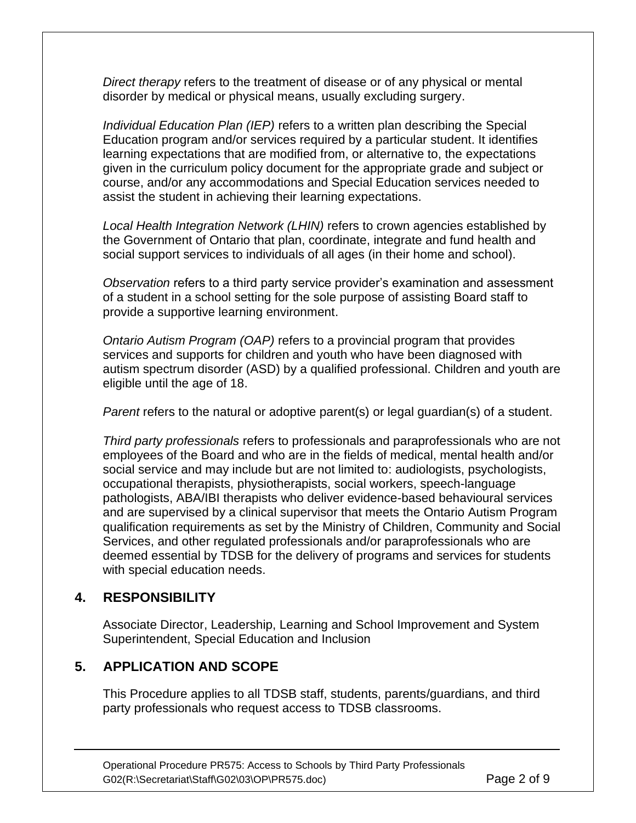*Direct therapy* refers to the treatment of disease or of any physical or mental disorder by medical or physical means, usually excluding surgery.

*Individual Education Plan (IEP)* refers to a written plan describing the Special Education program and/or services required by a particular student. It identifies learning expectations that are modified from, or alternative to, the expectations given in the curriculum policy document for the appropriate grade and subject or course, and/or any accommodations and Special Education services needed to assist the student in achieving their learning expectations.

*Local Health Integration Network (LHIN)* refers to crown agencies established by the Government of Ontario that plan, coordinate, integrate and fund health and social support services to individuals of all ages (in their home and school).

*Observation* refers to a third party service provider's examination and assessment of a student in a school setting for the sole purpose of assisting Board staff to provide a supportive learning environment.

*Ontario Autism Program (OAP)* refers to a provincial program that provides services and supports for children and youth who have been diagnosed with autism spectrum disorder (ASD) by a qualified professional. Children and youth are eligible until the age of 18.

*Parent* refers to the natural or adoptive parent(s) or legal guardian(s) of a student.

*Third party professionals* refers to professionals and paraprofessionals who are not employees of the Board and who are in the fields of medical, mental health and/or social service and may include but are not limited to: audiologists, psychologists, occupational therapists, physiotherapists, social workers, speech-language pathologists, ABA/IBI therapists who deliver evidence-based behavioural services and are supervised by a clinical supervisor that meets the Ontario Autism Program qualification requirements as set by the Ministry of Children, Community and Social Services, and other regulated professionals and/or paraprofessionals who are deemed essential by TDSB for the delivery of programs and services for students with special education needs.

## **4. RESPONSIBILITY**

Associate Director, Leadership, Learning and School Improvement and System Superintendent, Special Education and Inclusion

## **5. APPLICATION AND SCOPE**

This Procedure applies to all TDSB staff, students, parents/guardians, and third party professionals who request access to TDSB classrooms.

Operational Procedure PR575: Access to Schools by Third Party Professionals G02(R:\Secretariat\Staff\G02\03\OP\PR575.doc) Page 2 of 9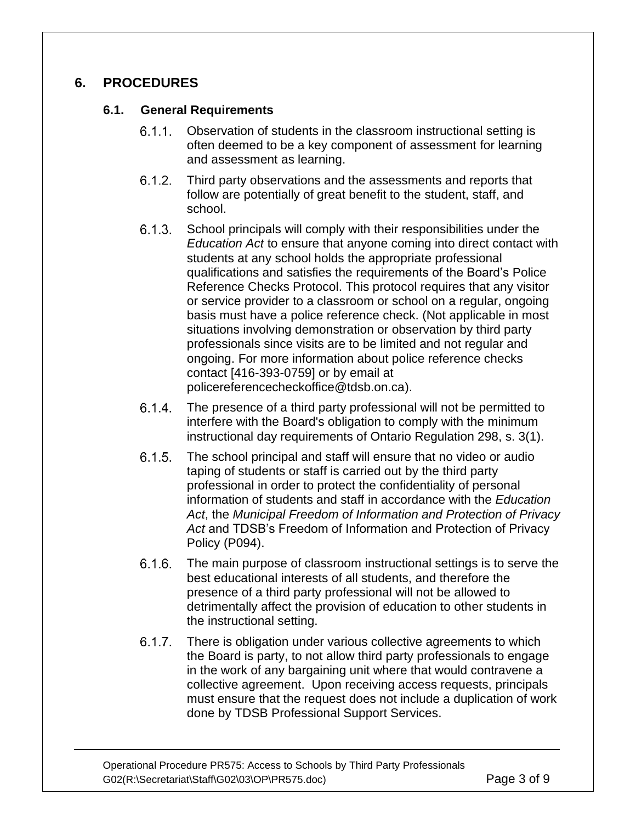## **6. PROCEDURES**

## **6.1. General Requirements**

- Observation of students in the classroom instructional setting is often deemed to be a key component of assessment for learning and assessment as learning.
- $6.1.2.$ Third party observations and the assessments and reports that follow are potentially of great benefit to the student, staff, and school.
- $6.1.3.$ School principals will comply with their responsibilities under the *Education Act* to ensure that anyone coming into direct contact with students at any school holds the appropriate professional qualifications and satisfies the requirements of the Board's Police Reference Checks Protocol. This protocol requires that any visitor or service provider to a classroom or school on a regular, ongoing basis must have a police reference check. (Not applicable in most situations involving demonstration or observation by third party professionals since visits are to be limited and not regular and ongoing. For more information about police reference checks contact [416-393-0759] or by email at [policereferencecheckoffice@tdsb.on.ca\)](mailto:policereferencecheckoffice@tdsb.on.ca).
- $6.1.4.$ The presence of a third party professional will not be permitted to interfere with the Board's obligation to comply with the minimum instructional day requirements of Ontario Regulation 298, s. 3(1).
- $6.1.5.$ The school principal and staff will ensure that no video or audio taping of students or staff is carried out by the third party professional in order to protect the confidentiality of personal information of students and staff in accordance with the *Education Act*, the *Municipal Freedom of Information and Protection of Privacy Act* and TDSB's Freedom of Information and Protection of Privacy Policy (P094).
- $6.1.6.$ The main purpose of classroom instructional settings is to serve the best educational interests of all students, and therefore the presence of a third party professional will not be allowed to detrimentally affect the provision of education to other students in the instructional setting.
- $6.1.7$ There is obligation under various collective agreements to which the Board is party, to not allow third party professionals to engage in the work of any bargaining unit where that would contravene a collective agreement. Upon receiving access requests, principals must ensure that the request does not include a duplication of work done by TDSB Professional Support Services.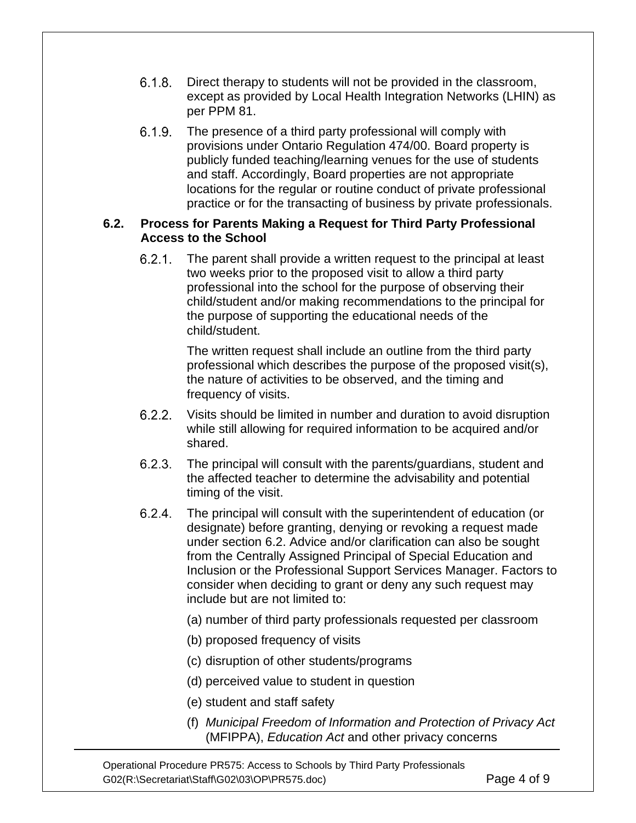- $6.1.8.$ Direct therapy to students will not be provided in the classroom, except as provided by Local Health Integration Networks (LHIN) as per PPM 81.
- $6.1.9.$ The presence of a third party professional will comply with provisions under Ontario Regulation 474/00. Board property is publicly funded teaching/learning venues for the use of students and staff. Accordingly, Board properties are not appropriate locations for the regular or routine conduct of private professional practice or for the transacting of business by private professionals.

#### **6.2. Process for Parents Making a Request for Third Party Professional Access to the School**

 $6.2.1.$ The parent shall provide a written request to the principal at least two weeks prior to the proposed visit to allow a third party professional into the school for the purpose of observing their child/student and/or making recommendations to the principal for the purpose of supporting the educational needs of the child/student.

> The written request shall include an outline from the third party professional which describes the purpose of the proposed visit(s), the nature of activities to be observed, and the timing and frequency of visits.

- $6.2.2.$ Visits should be limited in number and duration to avoid disruption while still allowing for required information to be acquired and/or shared.
- $6.2.3.$ The principal will consult with the parents/guardians, student and the affected teacher to determine the advisability and potential timing of the visit.
- $6.2.4.$ The principal will consult with the superintendent of education (or designate) before granting, denying or revoking a request made under section 6.2. Advice and/or clarification can also be sought from the Centrally Assigned Principal of Special Education and Inclusion or the Professional Support Services Manager. Factors to consider when deciding to grant or deny any such request may include but are not limited to:
	- (a) number of third party professionals requested per classroom
	- (b) proposed frequency of visits
	- (c) disruption of other students/programs
	- (d) perceived value to student in question
	- (e) student and staff safety
	- (f) *Municipal Freedom of Information and Protection of Privacy Act* (MFIPPA), *Education Act* and other privacy concerns

Operational Procedure PR575: Access to Schools by Third Party Professionals G02(R:\Secretariat\Staff\G02\03\OP\PR575.doc) Page 4 of 9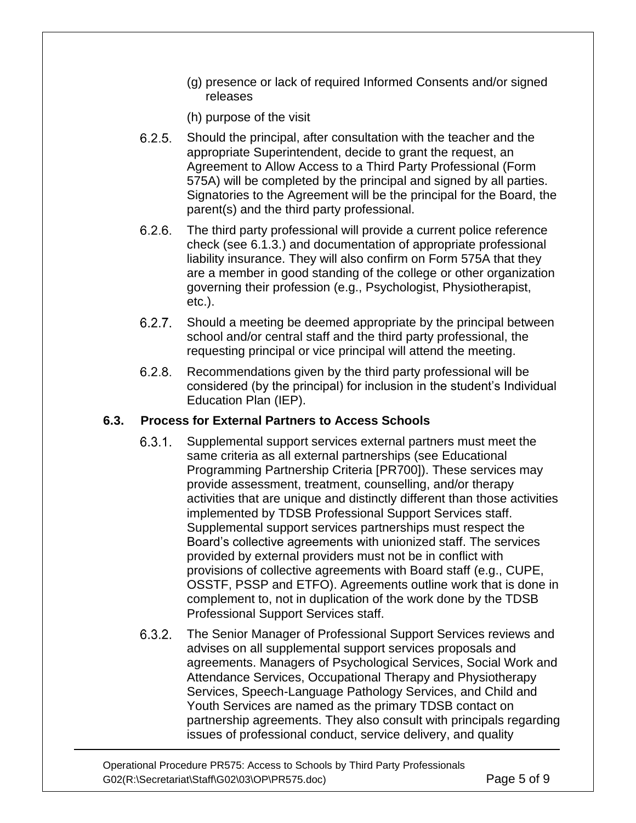- (g) presence or lack of required Informed Consents and/or signed releases
- (h) purpose of the visit
- $6.2.5.$ Should the principal, after consultation with the teacher and the appropriate Superintendent, decide to grant the request, an Agreement to Allow Access to a Third Party Professional (Form 575A) will be completed by the principal and signed by all parties. Signatories to the Agreement will be the principal for the Board, the parent(s) and the third party professional.
- $6.2.6$ The third party professional will provide a current police reference check (see 6.1.3.) and documentation of appropriate professional liability insurance. They will also confirm on Form 575A that they are a member in good standing of the college or other organization governing their profession (e.g., Psychologist, Physiotherapist, etc.).
- $6.2.7$ . Should a meeting be deemed appropriate by the principal between school and/or central staff and the third party professional, the requesting principal or vice principal will attend the meeting.
- $6.2.8$ Recommendations given by the third party professional will be considered (by the principal) for inclusion in the student's Individual Education Plan (IEP).

## **6.3. Process for External Partners to Access Schools**

- $6.3.1.$ Supplemental support services external partners must meet the same criteria as all external partnerships (see Educational Programming Partnership Criteria [PR700]). These services may provide assessment, treatment, counselling, and/or therapy activities that are unique and distinctly different than those activities implemented by TDSB Professional Support Services staff. Supplemental support services partnerships must respect the Board's collective agreements with unionized staff. The services provided by external providers must not be in conflict with provisions of collective agreements with Board staff (e.g., CUPE, OSSTF, PSSP and ETFO). Agreements outline work that is done in complement to, not in duplication of the work done by the TDSB Professional Support Services staff.
- $6.3.2.$ The Senior Manager of Professional Support Services reviews and advises on all supplemental support services proposals and agreements. Managers of Psychological Services, Social Work and Attendance Services, Occupational Therapy and Physiotherapy Services, Speech-Language Pathology Services, and Child and Youth Services are named as the primary TDSB contact on partnership agreements. They also consult with principals regarding issues of professional conduct, service delivery, and quality

Operational Procedure PR575: Access to Schools by Third Party Professionals G02(R:\Secretariat\Staff\G02\03\OP\PR575.doc) Page 5 of 9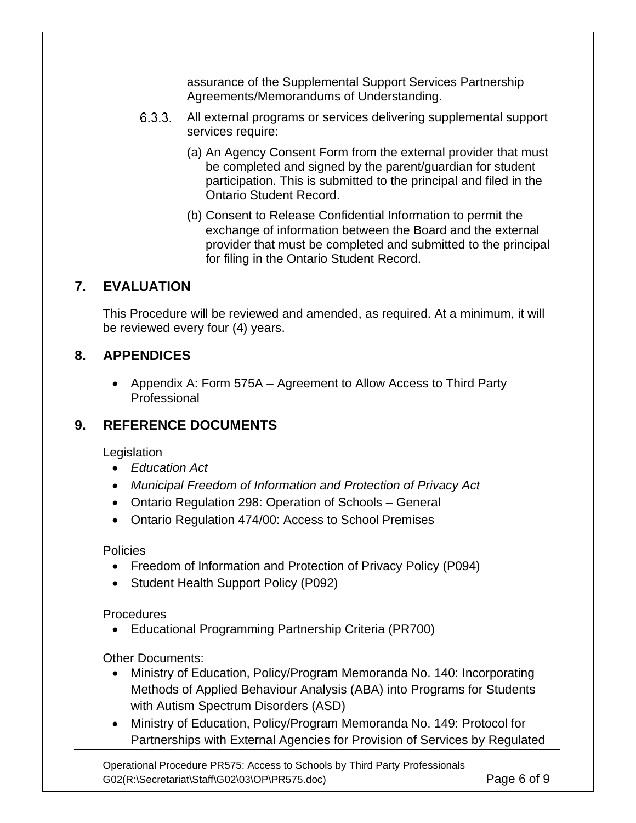assurance of the Supplemental Support Services Partnership Agreements/Memorandums of Understanding.

- $6.3.3.$ All external programs or services delivering supplemental support services require:
	- (a) An Agency Consent Form from the external provider that must be completed and signed by the parent/guardian for student participation. This is submitted to the principal and filed in the Ontario Student Record.
	- (b) Consent to Release Confidential Information to permit the exchange of information between the Board and the external provider that must be completed and submitted to the principal for filing in the Ontario Student Record.

## **7. EVALUATION**

This Procedure will be reviewed and amended, as required. At a minimum, it will be reviewed every four (4) years.

## **8. APPENDICES**

• Appendix A: Form 575A – Agreement to Allow Access to Third Party **Professional** 

## **9. REFERENCE DOCUMENTS**

**Legislation** 

- *Education Act*
- *Municipal Freedom of Information and Protection of Privacy Act*
- Ontario Regulation 298: Operation of Schools General
- Ontario Regulation 474/00: Access to School Premises

**Policies** 

- Freedom of Information and Protection of Privacy Policy (P094)
- Student Health Support Policy (P092)

**Procedures** 

• Educational Programming Partnership Criteria (PR700)

Other Documents:

- Ministry of Education, Policy/Program Memoranda No. 140: Incorporating Methods of Applied Behaviour Analysis (ABA) into Programs for Students with Autism Spectrum Disorders (ASD)
- Ministry of Education, Policy/Program Memoranda No. 149: Protocol for Partnerships with External Agencies for Provision of Services by Regulated

Operational Procedure PR575: Access to Schools by Third Party Professionals G02(R:\Secretariat\Staff\G02\03\OP\PR575.doc) Page 6 of 9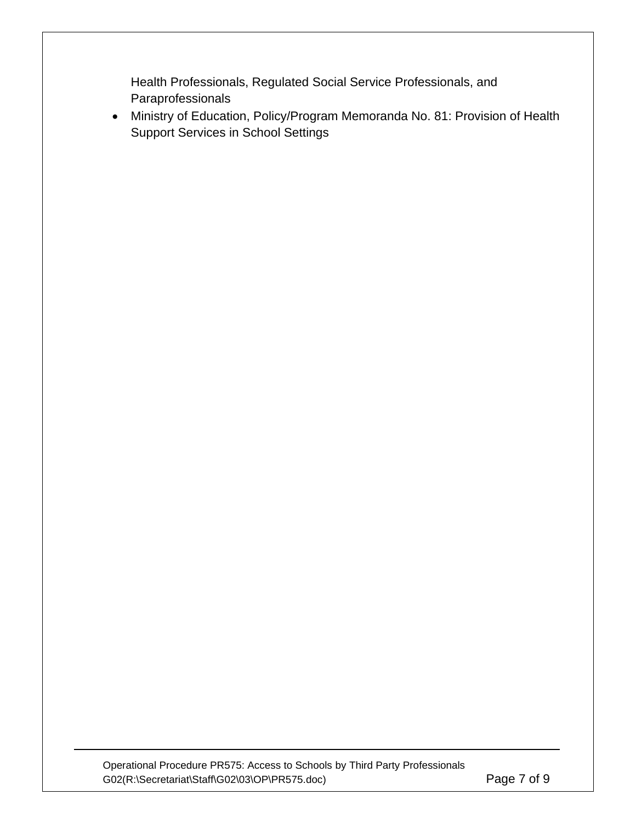Health Professionals, Regulated Social Service Professionals, and Paraprofessionals

• Ministry of Education, Policy/Program Memoranda No. 81: Provision of Health Support Services in School Settings

Operational Procedure PR575: Access to Schools by Third Party Professionals G02(R:\Secretariat\Staff\G02\03\OP\PR575.doc) Page 7 of 9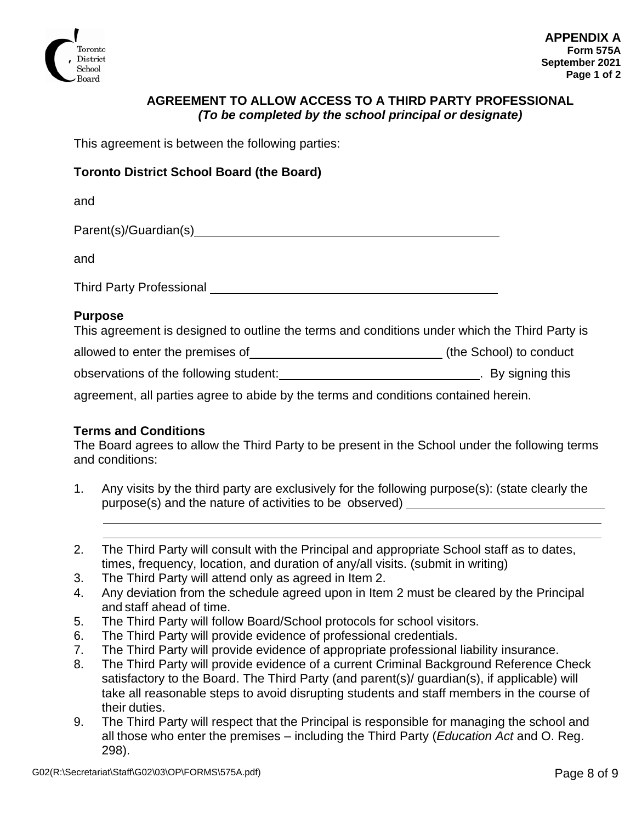

#### **AGREEMENT TO ALLOW ACCESS TO A THIRD PARTY PROFESSIONAL** *(To be completed by the school principal or designate)*

This agreement is between the following parties:

#### **Toronto District School Board (the Board)**

and

Parent(s)/Guardian(s)

and

Third Party Professional

#### **Purpose**

|  |  |  |  | This agreement is designed to outline the terms and conditions under which the Third Party is |
|--|--|--|--|-----------------------------------------------------------------------------------------------|
|  |  |  |  |                                                                                               |

allowed to enter the premises of \_\_\_\_\_\_\_\_\_\_\_\_\_\_\_\_\_\_\_\_\_\_\_\_\_\_\_\_\_\_\_\_\_(the School) to conduct

observations of the following student: . . By signing this

agreement, all parties agree to abide by the terms and conditions contained herein.

#### **Terms and Conditions**

The Board agrees to allow the Third Party to be present in the School under the following terms and conditions:

- 1. Any visits by the third party are exclusively for the following purpose(s): (state clearly the purpose(s) and the nature of activities to be observed)
- 2. The Third Party will consult with the Principal and appropriate School staff as to dates, times, frequency, location, and duration of any/all visits. (submit in writing)
- 3. The Third Party will attend only as agreed in Item 2.
- 4. Any deviation from the schedule agreed upon in Item 2 must be cleared by the Principal and staff ahead of time.
- 5. The Third Party will follow Board/School protocols for school visitors.
- 6. The Third Party will provide evidence of professional credentials.
- 7. The Third Party will provide evidence of appropriate professional liability insurance.
- 8. The Third Party will provide evidence of a current Criminal Background Reference Check satisfactory to the Board. The Third Party (and parent(s)/ guardian(s), if applicable) will take all reasonable steps to avoid disrupting students and staff members in the course of their duties.
- 9. The Third Party will respect that the Principal is responsible for managing the school and all those who enter the premises – including the Third Party (*Education Act* and O. Reg. 298).